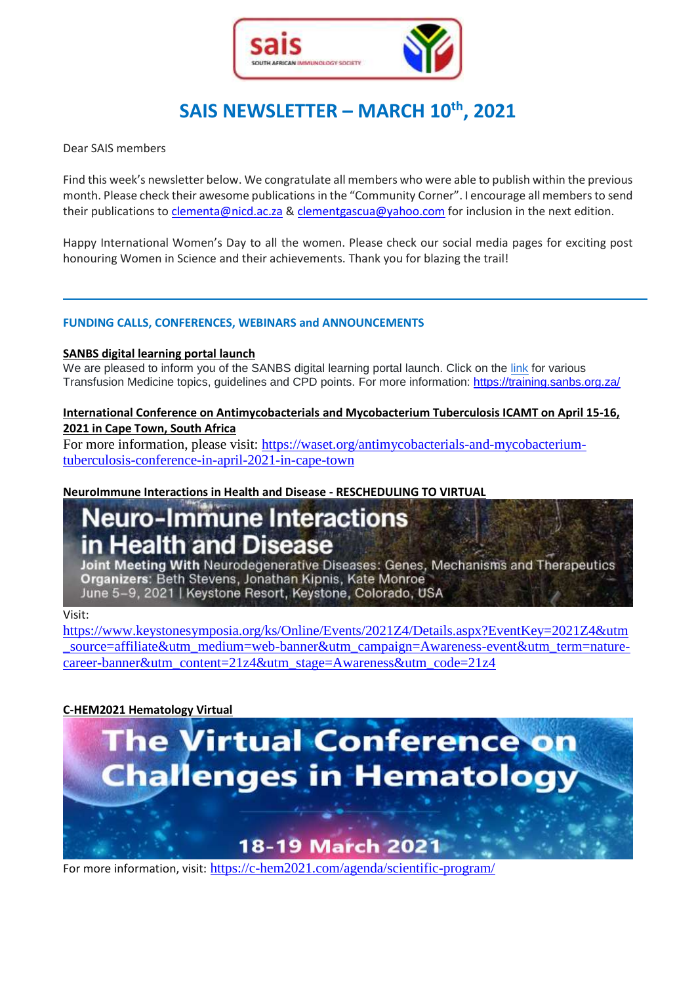

## **SAIS NEWSLETTER – MARCH 10th , 2021**

Dear SAIS members

Find this week's newsletter below. We congratulate all members who were able to publish within the previous month. Please check their awesome publications in the "Community Corner". I encourage all membersto send their publications to [clementa@nicd.ac.za](mailto:clementa@nicd.ac.za) [& clementgascua@yahoo.com](mailto:clementgascua@yahoo.com) for inclusion in the next edition.

Happy International Women's Day to all the women. Please check our social media pages for exciting post honouring Women in Science and their achievements. Thank you for blazing the trail!

#### **FUNDING CALLS, CONFERENCES, WEBINARS and ANNOUNCEMENTS**

#### **SANBS digital learning portal launch**

We are pleased to inform you of the SANBS digital learning portal launch. Click on the [link](https://training.sanbs.org.za/) for various Transfusion Medicine topics, guidelines and CPD points. For more information:<https://training.sanbs.org.za/>

## **International Conference on Antimycobacterials and Mycobacterium Tuberculosis ICAMT on April 15-16, 2021 in Cape Town, South Africa**

For more information, please visit: [https://waset.org/antimycobacterials-and-mycobacterium](https://waset.org/antimycobacterials-and-mycobacterium-tuberculosis-conference-in-april-2021-in-cape-town)[tuberculosis-conference-in-april-2021-in-cape-town](https://waset.org/antimycobacterials-and-mycobacterium-tuberculosis-conference-in-april-2021-in-cape-town)

### **NeuroImmune Interactions in Health and Disease - RESCHEDULING TO VIRTUAL**

# **Neuro-Immune Interactions** in Health and Disease

Joint Meeting With Neurodegenerative Diseases: Genes, Mechanisms and Therapeutics Organizers: Beth Stevens, Jonathan Kipnis, Kate Monroe June 5-9, 2021 | Keystone Resort, Keystone, Colorado, USA

#### Visit:

[https://www.keystonesymposia.org/ks/Online/Events/2021Z4/Details.aspx?EventKey=2021Z4&utm](https://www.keystonesymposia.org/ks/Online/Events/2021Z4/Details.aspx?EventKey=2021Z4&utm_source=affiliate&utm_medium=web-banner&utm_campaign=Awareness-event&utm_term=nature-career-banner&utm_content=21z4&utm_stage=Awareness&utm_code=21z4) [\\_source=affiliate&utm\\_medium=web-banner&utm\\_campaign=Awareness-event&utm\\_term=nature](https://www.keystonesymposia.org/ks/Online/Events/2021Z4/Details.aspx?EventKey=2021Z4&utm_source=affiliate&utm_medium=web-banner&utm_campaign=Awareness-event&utm_term=nature-career-banner&utm_content=21z4&utm_stage=Awareness&utm_code=21z4)[career-banner&utm\\_content=21z4&utm\\_stage=Awareness&utm\\_code=21z4](https://www.keystonesymposia.org/ks/Online/Events/2021Z4/Details.aspx?EventKey=2021Z4&utm_source=affiliate&utm_medium=web-banner&utm_campaign=Awareness-event&utm_term=nature-career-banner&utm_content=21z4&utm_stage=Awareness&utm_code=21z4)

#### **C-HEM2021 Hematology Virtual**



For more information, visit: <https://c-hem2021.com/agenda/scientific-program/>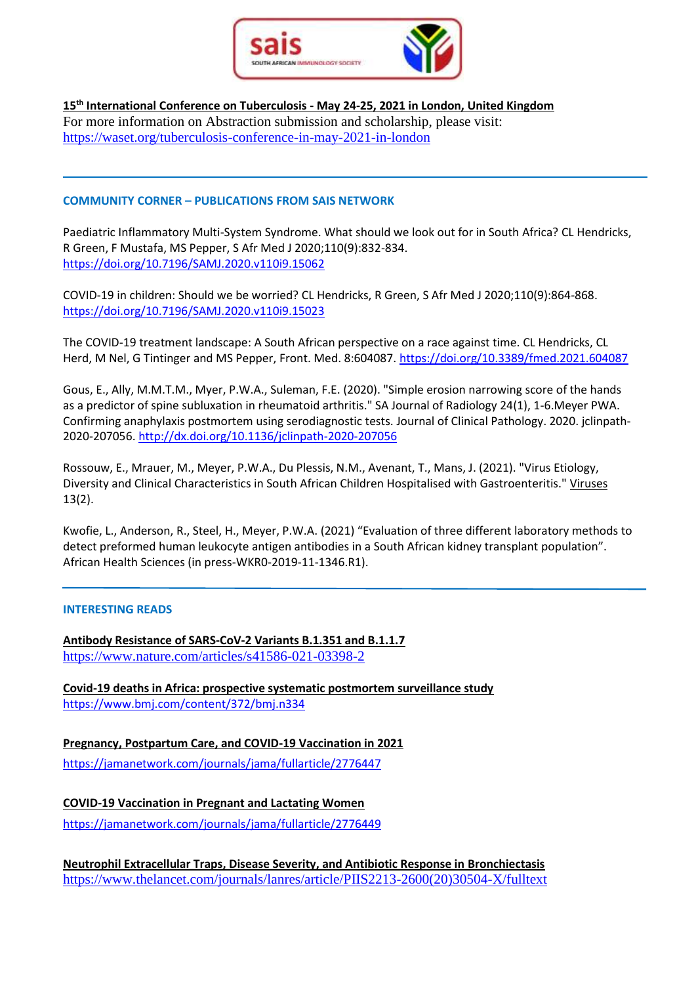

**15th International Conference on Tuberculosis - May 24-25, 2021 in London, United Kingdom** For more information on Abstraction submission and scholarship, please visit: <https://waset.org/tuberculosis-conference-in-may-2021-in-london>

### **COMMUNITY CORNER – PUBLICATIONS FROM SAIS NETWORK**

Paediatric Inflammatory Multi-System Syndrome. What should we look out for in South Africa? CL Hendricks, R Green, F Mustafa, MS Pepper, S Afr Med J 2020;110(9):832-834. <https://doi.org/10.7196/SAMJ.2020.v110i9.15062>

COVID-19 in children: Should we be worried? CL Hendricks, R Green, S Afr Med J 2020;110(9):864-868. <https://doi.org/10.7196/SAMJ.2020.v110i9.15023>

The COVID-19 treatment landscape: A South African perspective on a race against time. CL Hendricks, CL Herd, M Nel, G Tintinger and MS Pepper, Front. Med. 8:604087[. https://doi.org/10.3389/fmed.2021.604087](https://doi.org/10.3389/fmed.2021.604087)

Gous, E., Ally, M.M.T.M., Myer, P.W.A., Suleman, F.E. (2020). "Simple erosion narrowing score of the hands as a predictor of spine subluxation in rheumatoid arthritis." SA Journal of Radiology 24(1), 1-6.Meyer PWA. Confirming anaphylaxis postmortem using serodiagnostic tests. Journal of Clinical Pathology. 2020. jclinpath-2020-207056[. http://dx.doi.org/10.1136/jclinpath-2020-207056](http://dx.doi.org/10.1136/jclinpath-2020-207056)

Rossouw, E., Mrauer, M., Meyer, P.W.A., Du Plessis, N.M., Avenant, T., Mans, J. (2021). "Virus Etiology, Diversity and Clinical Characteristics in South African Children Hospitalised with Gastroenteritis." Viruses 13(2).

Kwofie, L., Anderson, R., Steel, H., Meyer, P.W.A. (2021) "Evaluation of three different laboratory methods to detect preformed human leukocyte antigen antibodies in a South African kidney transplant population". African Health Sciences (in press-WKR0-2019-11-1346.R1).

#### **INTERESTING READS**

**Antibody Resistance of SARS-CoV-2 Variants B.1.351 and B.1.1.7** <https://www.nature.com/articles/s41586-021-03398-2>

**Covid-19 deaths in Africa: prospective systematic postmortem surveillance study** <https://www.bmj.com/content/372/bmj.n334>

**Pregnancy, Postpartum Care, and COVID-19 Vaccination in 2021** <https://jamanetwork.com/journals/jama/fullarticle/2776447>

**COVID-19 Vaccination in Pregnant and Lactating Women** <https://jamanetwork.com/journals/jama/fullarticle/2776449>

**Neutrophil Extracellular Traps, Disease Severity, and Antibiotic Response in Bronchiectasis** [https://www.thelancet.com/journals/lanres/article/PIIS2213-2600\(20\)30504-X/fulltext](https://www.thelancet.com/journals/lanres/article/PIIS2213-2600(20)30504-X/fulltext)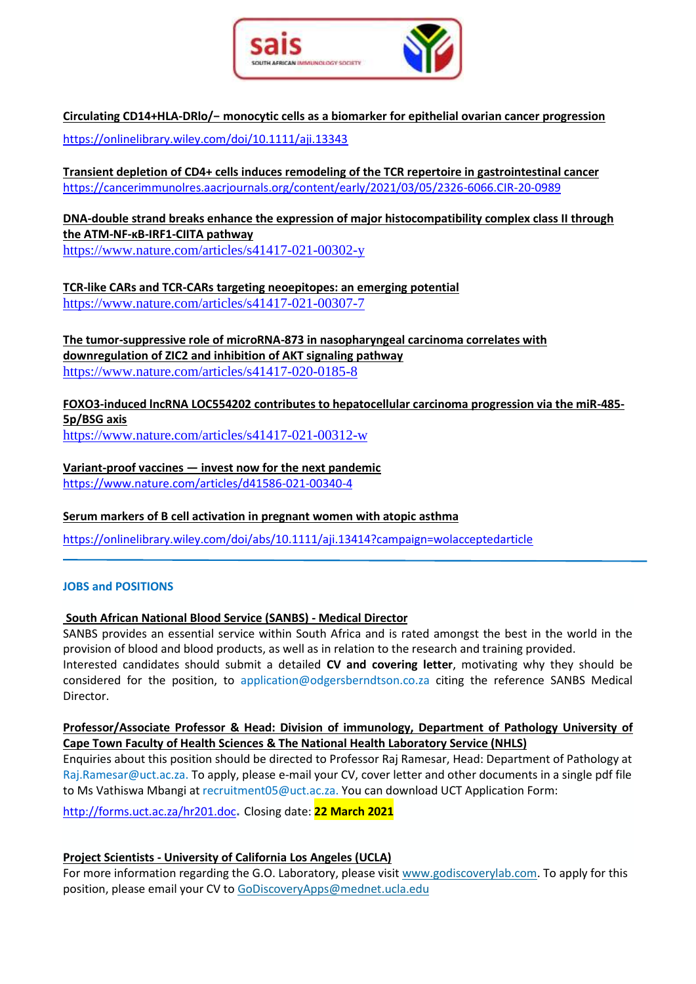

**Circulating CD14+HLA‐DRlo/− monocytic cells as a biomarker for epithelial ovarian cancer progression** <https://onlinelibrary.wiley.com/doi/10.1111/aji.13343>

**Transient depletion of CD4+ cells induces remodeling of the TCR repertoire in gastrointestinal cancer** <https://cancerimmunolres.aacrjournals.org/content/early/2021/03/05/2326-6066.CIR-20-0989>

## **DNA-double strand breaks enhance the expression of major histocompatibility complex class II through the ATM-NF-κΒ-IRF1-CIITA pathway**

<https://www.nature.com/articles/s41417-021-00302-y>

**TCR-like CARs and TCR-CARs targeting neoepitopes: an emerging potential** <https://www.nature.com/articles/s41417-021-00307-7>

**The tumor-suppressive role of microRNA-873 in nasopharyngeal carcinoma correlates with downregulation of ZIC2 and inhibition of AKT signaling pathway** <https://www.nature.com/articles/s41417-020-0185-8>

## **FOXO3-induced lncRNA LOC554202 contributes to hepatocellular carcinoma progression via the miR-485- 5p/BSG axis**

<https://www.nature.com/articles/s41417-021-00312-w>

**Variant-proof vaccines — invest now for the next pandemic** <https://www.nature.com/articles/d41586-021-00340-4>

## **Serum markers of B cell activation in pregnant women with atopic asthma**

<https://onlinelibrary.wiley.com/doi/abs/10.1111/aji.13414?campaign=wolacceptedarticle>

## **JOBS and POSITIONS**

## **South African National Blood Service (SANBS) - Medical Director**

SANBS provides an essential service within South Africa and is rated amongst the best in the world in the provision of blood and blood products, as well as in relation to the research and training provided. Interested candidates should submit a detailed **CV and covering letter**, motivating why they should be considered for the position, to application@odgersberndtson.co.za citing the reference SANBS Medical Director.

## **Professor/Associate Professor & Head: Division of immunology, Department of Pathology University of Cape Town Faculty of Health Sciences & The National Health Laboratory Service (NHLS)**

Enquiries about this position should be directed to Professor Raj Ramesar, Head: Department of Pathology at Raj.Ramesar@uct.ac.za. To apply, please e-mail your CV, cover letter and other documents in a single pdf file to Ms Vathiswa Mbangi at recruitment05@uct.ac.za. You can download UCT Application Form:

<http://forms.uct.ac.za/hr201.doc>. Closing date: **22 March 2021**

## **Project Scientists - [University](https://www.godiscoverylab.com/) of California Los Angeles (UCLA)**

For more information regarding the G.O. Laboratory, please visit [www.godiscoverylab.com.](http://www.godiscoverylab.com/) To apply for this position, please email your CV to [GoDiscoveryApps@mednet.ucla.edu](mailto:GoDiscoveryApps@mednet.ucla.edu)